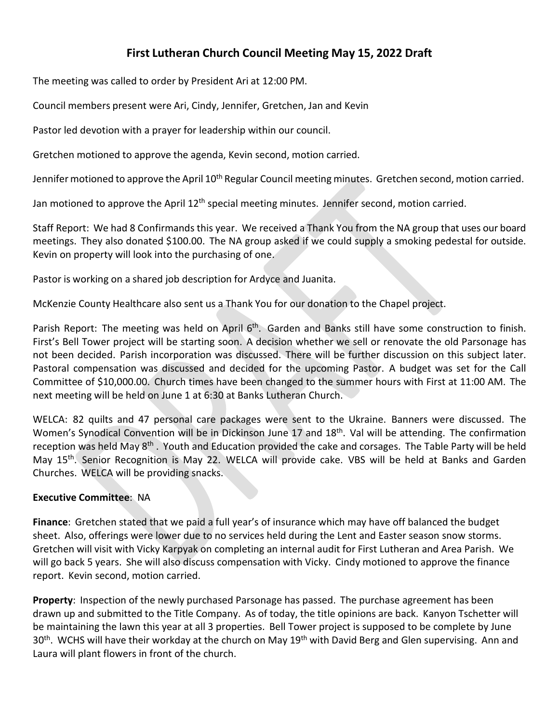## **First Lutheran Church Council Meeting May 15, 2022 Draft**

The meeting was called to order by President Ari at 12:00 PM.

Council members present were Ari, Cindy, Jennifer, Gretchen, Jan and Kevin

Pastor led devotion with a prayer for leadership within our council.

Gretchen motioned to approve the agenda, Kevin second, motion carried.

Jennifer motioned to approve the April 10<sup>th</sup> Regular Council meeting minutes. Gretchen second, motion carried.

Jan motioned to approve the April 12<sup>th</sup> special meeting minutes. Jennifer second, motion carried.

Staff Report: We had 8 Confirmands this year. We received a Thank You from the NA group that uses our board meetings. They also donated \$100.00. The NA group asked if we could supply a smoking pedestal for outside. Kevin on property will look into the purchasing of one.

Pastor is working on a shared job description for Ardyce and Juanita.

McKenzie County Healthcare also sent us a Thank You for our donation to the Chapel project.

Parish Report: The meeting was held on April 6<sup>th</sup>. Garden and Banks still have some construction to finish. First's Bell Tower project will be starting soon. A decision whether we sell or renovate the old Parsonage has not been decided. Parish incorporation was discussed. There will be further discussion on this subject later. Pastoral compensation was discussed and decided for the upcoming Pastor. A budget was set for the Call Committee of \$10,000.00. Church times have been changed to the summer hours with First at 11:00 AM. The next meeting will be held on June 1 at 6:30 at Banks Lutheran Church.

WELCA: 82 quilts and 47 personal care packages were sent to the Ukraine. Banners were discussed. The Women's Synodical Convention will be in Dickinson June 17 and 18<sup>th</sup>. Val will be attending. The confirmation reception was held May 8<sup>th</sup>. Youth and Education provided the cake and corsages. The Table Party will be held May 15th. Senior Recognition is May 22. WELCA will provide cake. VBS will be held at Banks and Garden Churches. WELCA will be providing snacks.

## **Executive Committee**: NA

**Finance**: Gretchen stated that we paid a full year's of insurance which may have off balanced the budget sheet. Also, offerings were lower due to no services held during the Lent and Easter season snow storms. Gretchen will visit with Vicky Karpyak on completing an internal audit for First Lutheran and Area Parish. We will go back 5 years. She will also discuss compensation with Vicky. Cindy motioned to approve the finance report. Kevin second, motion carried.

**Property**: Inspection of the newly purchased Parsonage has passed. The purchase agreement has been drawn up and submitted to the Title Company. As of today, the title opinions are back. Kanyon Tschetter will be maintaining the lawn this year at all 3 properties. Bell Tower project is supposed to be complete by June 30<sup>th</sup>. WCHS will have their workday at the church on May 19<sup>th</sup> with David Berg and Glen supervising. Ann and Laura will plant flowers in front of the church.